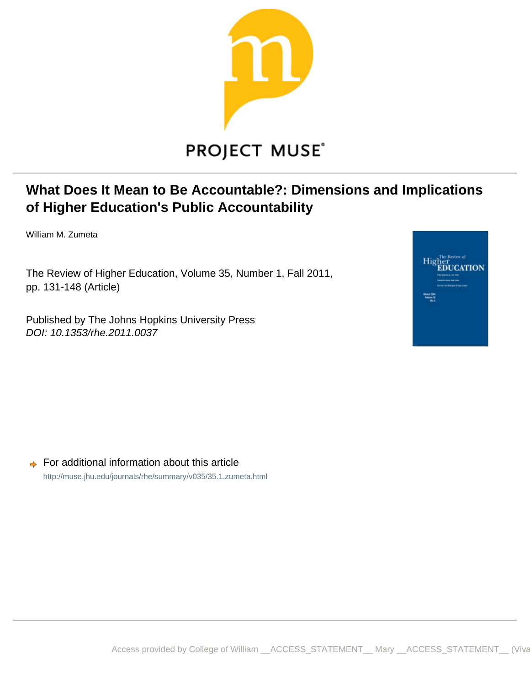

# **What Does It Mean to Be Accountable?: Dimensions and Implications of Higher Education's Public Accountability**

William M. Zumeta

The Review of Higher Education, Volume 35, Number 1, Fall 2011, pp. 131-148 (Article)

Published by The Johns Hopkins University Press DOI: 10.1353/rhe.2011.0037



 $\rightarrow$  For additional information about this article <http://muse.jhu.edu/journals/rhe/summary/v035/35.1.zumeta.html>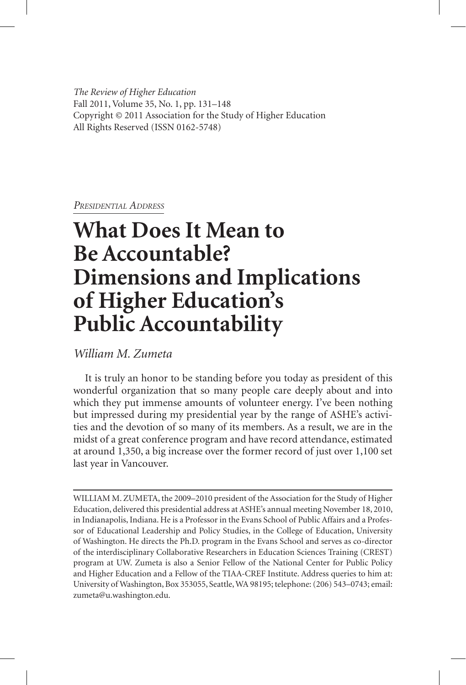*The Review of Higher Education* Fall 2011, Volume 35, No. 1, pp. 131–148 Copyright © 2011 Association for the Study of Higher Education All Rights Reserved (ISSN 0162-5748)

*Presidential Address*

# **What Does It Mean to Be Accountable? Dimensions and Implications of Higher Education's Public Accountability**

*William M. Zumeta*

It is truly an honor to be standing before you today as president of this wonderful organization that so many people care deeply about and into which they put immense amounts of volunteer energy. I've been nothing but impressed during my presidential year by the range of ASHE's activities and the devotion of so many of its members. As a result, we are in the midst of a great conference program and have record attendance, estimated at around 1,350, a big increase over the former record of just over 1,100 set last year in Vancouver.

WILLIAM M. ZUMETA, the 2009–2010 president of the Association for the Study of Higher Education, delivered this presidential address at ASHE's annual meeting November 18, 2010, in Indianapolis, Indiana. He is a Professor in the Evans School of Public Affairs and a Professor of Educational Leadership and Policy Studies, in the College of Education, University of Washington. He directs the Ph.D. program in the Evans School and serves as co-director of the interdisciplinary Collaborative Researchers in Education Sciences Training (CREST) program at UW. Zumeta is also a Senior Fellow of the National Center for Public Policy and Higher Education and a Fellow of the TIAA-CREF Institute. Address queries to him at: University of Washington, Box 353055, Seattle, WA 98195; telephone: (206) 543–0743; email: zumeta@u.washington.edu.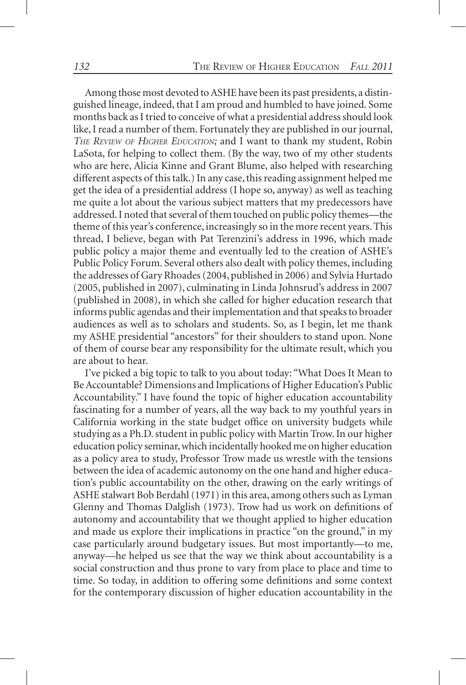Among those most devoted to ASHE have been its past presidents, a distinguished lineage, indeed, that I am proud and humbled to have joined. Some months back as I tried to conceive of what a presidential address should look like, I read a number of them. Fortunately they are published in our journal, *The Review of Higher Education;* and I want to thank my student, Robin LaSota, for helping to collect them. (By the way, two of my other students who are here, Alicia Kinne and Grant Blume, also helped with researching different aspects of this talk.) In any case, this reading assignment helped me get the idea of a presidential address (I hope so, anyway) as well as teaching me quite a lot about the various subject matters that my predecessors have addressed. I noted that several of them touched on public policy themes—the theme of this year's conference, increasingly so in the more recent years. This thread, I believe, began with Pat Terenzini's address in 1996, which made public policy a major theme and eventually led to the creation of ASHE's Public Policy Forum. Several others also dealt with policy themes, including the addresses of Gary Rhoades (2004, published in 2006) and Sylvia Hurtado (2005, published in 2007), culminating in Linda Johnsrud's address in 2007 (published in 2008), in which she called for higher education research that informs public agendas and their implementation and that speaks to broader audiences as well as to scholars and students. So, as I begin, let me thank my ASHE presidential "ancestors" for their shoulders to stand upon. None of them of course bear any responsibility for the ultimate result, which you are about to hear.

I've picked a big topic to talk to you about today: "What Does It Mean to Be Accountable? Dimensions and Implications of Higher Education's Public Accountability." I have found the topic of higher education accountability fascinating for a number of years, all the way back to my youthful years in California working in the state budget office on university budgets while studying as a Ph.D. student in public policy with Martin Trow. In our higher education policy seminar, which incidentally hooked me on higher education as a policy area to study, Professor Trow made us wrestle with the tensions between the idea of academic autonomy on the one hand and higher education's public accountability on the other, drawing on the early writings of ASHE stalwart Bob Berdahl (1971) in this area, among others such as Lyman Glenny and Thomas Dalglish (1973). Trow had us work on definitions of autonomy and accountability that we thought applied to higher education and made us explore their implications in practice "on the ground," in my case particularly around budgetary issues. But most importantly—to me, anyway—he helped us see that the way we think about accountability is a social construction and thus prone to vary from place to place and time to time. So today, in addition to offering some definitions and some context for the contemporary discussion of higher education accountability in the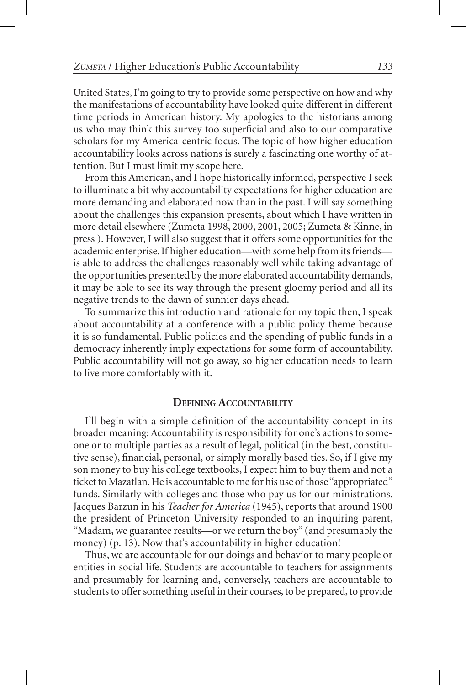United States, I'm going to try to provide some perspective on how and why the manifestations of accountability have looked quite different in different time periods in American history. My apologies to the historians among us who may think this survey too superficial and also to our comparative scholars for my America-centric focus. The topic of how higher education accountability looks across nations is surely a fascinating one worthy of attention. But I must limit my scope here.

From this American, and I hope historically informed, perspective I seek to illuminate a bit why accountability expectations for higher education are more demanding and elaborated now than in the past. I will say something about the challenges this expansion presents, about which I have written in more detail elsewhere (Zumeta 1998, 2000, 2001, 2005; Zumeta & Kinne, in press ). However, I will also suggest that it offers some opportunities for the academic enterprise. If higher education—with some help from its friends is able to address the challenges reasonably well while taking advantage of the opportunities presented by the more elaborated accountability demands, it may be able to see its way through the present gloomy period and all its negative trends to the dawn of sunnier days ahead.

To summarize this introduction and rationale for my topic then, I speak about accountability at a conference with a public policy theme because it is so fundamental. Public policies and the spending of public funds in a democracy inherently imply expectations for some form of accountability. Public accountability will not go away, so higher education needs to learn to live more comfortably with it.

#### **Defining Accountability**

I'll begin with a simple definition of the accountability concept in its broader meaning: Accountability is responsibility for one's actions to someone or to multiple parties as a result of legal, political (in the best, constitutive sense), financial, personal, or simply morally based ties. So, if I give my son money to buy his college textbooks, I expect him to buy them and not a ticket to Mazatlan. He is accountable to me for his use of those "appropriated" funds. Similarly with colleges and those who pay us for our ministrations. Jacques Barzun in his *Teacher for America* (1945), reports that around 1900 the president of Princeton University responded to an inquiring parent, "Madam, we guarantee results—or we return the boy" (and presumably the money) (p. 13). Now that's accountability in higher education!

Thus, we are accountable for our doings and behavior to many people or entities in social life. Students are accountable to teachers for assignments and presumably for learning and, conversely, teachers are accountable to students to offer something useful in their courses, to be prepared, to provide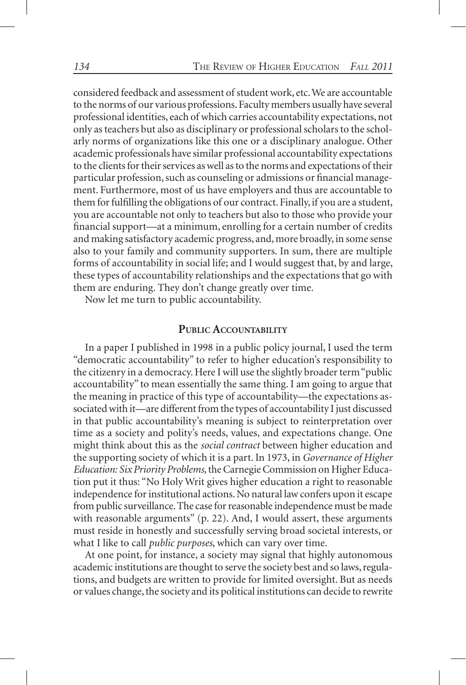considered feedback and assessment of student work, etc. We are accountable to the norms of our various professions. Faculty members usually have several professional identities, each of which carries accountability expectations, not only as teachers but also as disciplinary or professional scholars to the scholarly norms of organizations like this one or a disciplinary analogue. Other academic professionals have similar professional accountability expectations to the clients for their services as well as to the norms and expectations of their particular profession, such as counseling or admissions or financial management. Furthermore, most of us have employers and thus are accountable to them for fulfilling the obligations of our contract. Finally, if you are a student, you are accountable not only to teachers but also to those who provide your financial support—at a minimum, enrolling for a certain number of credits and making satisfactory academic progress, and, more broadly, in some sense also to your family and community supporters. In sum, there are multiple forms of accountability in social life; and I would suggest that, by and large, these types of accountability relationships and the expectations that go with them are enduring. They don't change greatly over time.

Now let me turn to public accountability.

### **Public Accountability**

In a paper I published in 1998 in a public policy journal, I used the term "democratic accountability" to refer to higher education's responsibility to the citizenry in a democracy. Here I will use the slightly broader term "public accountability" to mean essentially the same thing. I am going to argue that the meaning in practice of this type of accountability—the expectations associated with it—are different from the types of accountability I just discussed in that public accountability's meaning is subject to reinterpretation over time as a society and polity's needs, values, and expectations change. One might think about this as the *social contract* between higher education and the supporting society of which it is a part. In 1973, in *Governance of Higher Education: Six Priority Problems,* the Carnegie Commission on Higher Education put it thus: "No Holy Writ gives higher education a right to reasonable independence for institutional actions. No natural law confers upon it escape from public surveillance. The case for reasonable independence must be made with reasonable arguments" (p. 22). And, I would assert, these arguments must reside in honestly and successfully serving broad societal interests, or what I like to call *public purposes*, which can vary over time.

At one point, for instance, a society may signal that highly autonomous academic institutions are thought to serve the society best and so laws, regulations, and budgets are written to provide for limited oversight. But as needs or values change, the society and its political institutions can decide to rewrite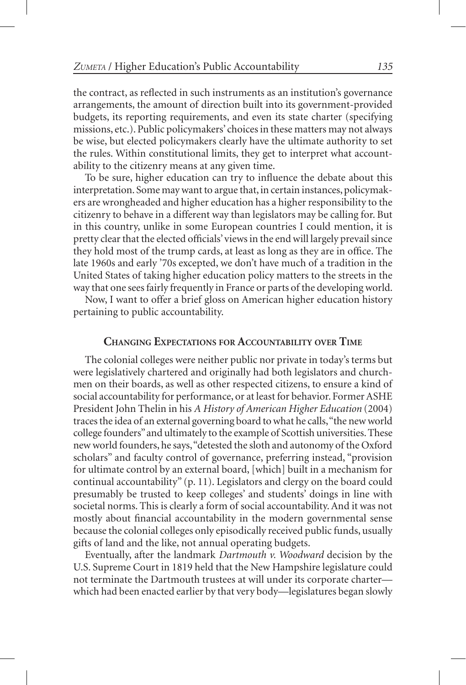the contract, as reflected in such instruments as an institution's governance arrangements, the amount of direction built into its government-provided budgets, its reporting requirements, and even its state charter (specifying missions, etc.). Public policymakers' choices in these matters may not always be wise, but elected policymakers clearly have the ultimate authority to set the rules. Within constitutional limits, they get to interpret what accountability to the citizenry means at any given time.

To be sure, higher education can try to influence the debate about this interpretation. Some may want to argue that, in certain instances, policymakers are wrongheaded and higher education has a higher responsibility to the citizenry to behave in a different way than legislators may be calling for. But in this country, unlike in some European countries I could mention, it is pretty clear that the elected officials' views in the end will largely prevail since they hold most of the trump cards, at least as long as they are in office. The late 1960s and early '70s excepted, we don't have much of a tradition in the United States of taking higher education policy matters to the streets in the way that one sees fairly frequently in France or parts of the developing world.

Now, I want to offer a brief gloss on American higher education history pertaining to public accountability.

#### **Changing Expectations for Accountability over Time**

The colonial colleges were neither public nor private in today's terms but were legislatively chartered and originally had both legislators and churchmen on their boards, as well as other respected citizens, to ensure a kind of social accountability for performance, or at least for behavior. Former ASHE President John Thelin in his *A History of American Higher Education* (2004) traces the idea of an external governing board to what he calls, "the new world college founders" and ultimately to the example of Scottish universities. These new world founders, he says, "detested the sloth and autonomy of the Oxford scholars" and faculty control of governance, preferring instead, "provision for ultimate control by an external board, [which] built in a mechanism for continual accountability" (p. 11). Legislators and clergy on the board could presumably be trusted to keep colleges' and students' doings in line with societal norms. This is clearly a form of social accountability. And it was not mostly about financial accountability in the modern governmental sense because the colonial colleges only episodically received public funds, usually gifts of land and the like, not annual operating budgets.

Eventually, after the landmark *Dartmouth v. Woodward* decision by the U.S. Supreme Court in 1819 held that the New Hampshire legislature could not terminate the Dartmouth trustees at will under its corporate charter which had been enacted earlier by that very body—legislatures began slowly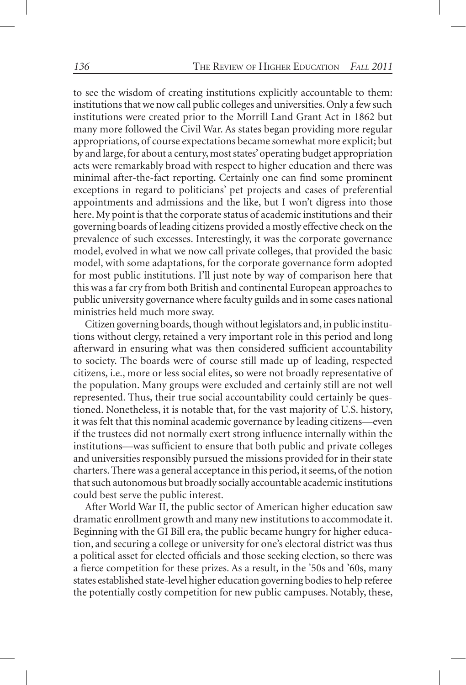to see the wisdom of creating institutions explicitly accountable to them: institutions that we now call public colleges and universities. Only a few such institutions were created prior to the Morrill Land Grant Act in 1862 but many more followed the Civil War. As states began providing more regular appropriations, of course expectations became somewhat more explicit; but by and large, for about a century, most states' operating budget appropriation acts were remarkably broad with respect to higher education and there was minimal after-the-fact reporting. Certainly one can find some prominent exceptions in regard to politicians' pet projects and cases of preferential appointments and admissions and the like, but I won't digress into those here. My point is that the corporate status of academic institutions and their governing boards of leading citizens provided a mostly effective check on the prevalence of such excesses. Interestingly, it was the corporate governance model, evolved in what we now call private colleges, that provided the basic model, with some adaptations, for the corporate governance form adopted for most public institutions. I'll just note by way of comparison here that this was a far cry from both British and continental European approaches to public university governance where faculty guilds and in some cases national ministries held much more sway.

Citizen governing boards, though without legislators and, in public institutions without clergy, retained a very important role in this period and long afterward in ensuring what was then considered sufficient accountability to society. The boards were of course still made up of leading, respected citizens, i.e., more or less social elites, so were not broadly representative of the population. Many groups were excluded and certainly still are not well represented. Thus, their true social accountability could certainly be questioned. Nonetheless, it is notable that, for the vast majority of U.S. history, it was felt that this nominal academic governance by leading citizens—even if the trustees did not normally exert strong influence internally within the institutions—was sufficient to ensure that both public and private colleges and universities responsibly pursued the missions provided for in their state charters. There was a general acceptance in this period, it seems, of the notion that such autonomous but broadly socially accountable academic institutions could best serve the public interest.

After World War II, the public sector of American higher education saw dramatic enrollment growth and many new institutions to accommodate it. Beginning with the GI Bill era, the public became hungry for higher education, and securing a college or university for one's electoral district was thus a political asset for elected officials and those seeking election, so there was a fierce competition for these prizes. As a result, in the '50s and '60s, many states established state-level higher education governing bodies to help referee the potentially costly competition for new public campuses. Notably, these,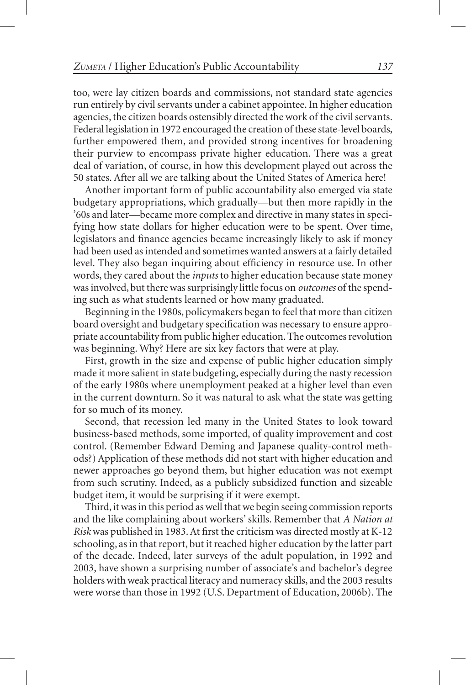too, were lay citizen boards and commissions, not standard state agencies run entirely by civil servants under a cabinet appointee. In higher education agencies, the citizen boards ostensibly directed the work of the civil servants. Federal legislation in 1972 encouraged the creation of these state-level boards, further empowered them, and provided strong incentives for broadening their purview to encompass private higher education. There was a great deal of variation, of course, in how this development played out across the 50 states. After all we are talking about the United States of America here!

Another important form of public accountability also emerged via state budgetary appropriations, which gradually—but then more rapidly in the '60s and later—became more complex and directive in many states in specifying how state dollars for higher education were to be spent. Over time, legislators and finance agencies became increasingly likely to ask if money had been used as intended and sometimes wanted answers at a fairly detailed level. They also began inquiring about efficiency in resource use. In other words, they cared about the *inputs* to higher education because state money was involved, but there was surprisingly little focus on *outcomes* of the spending such as what students learned or how many graduated.

Beginning in the 1980s, policymakers began to feel that more than citizen board oversight and budgetary specification was necessary to ensure appropriate accountability from public higher education. The outcomes revolution was beginning. Why? Here are six key factors that were at play.

First, growth in the size and expense of public higher education simply made it more salient in state budgeting, especially during the nasty recession of the early 1980s where unemployment peaked at a higher level than even in the current downturn. So it was natural to ask what the state was getting for so much of its money.

Second, that recession led many in the United States to look toward business-based methods, some imported, of quality improvement and cost control. (Remember Edward Deming and Japanese quality-control methods?) Application of these methods did not start with higher education and newer approaches go beyond them, but higher education was not exempt from such scrutiny. Indeed, as a publicly subsidized function and sizeable budget item, it would be surprising if it were exempt.

Third, it was in this period as well that we begin seeing commission reports and the like complaining about workers' skills. Remember that *A Nation at Risk* was published in 1983. At first the criticism was directed mostly at K-12 schooling, as in that report, but it reached higher education by the latter part of the decade. Indeed, later surveys of the adult population, in 1992 and 2003, have shown a surprising number of associate's and bachelor's degree holders with weak practical literacy and numeracy skills, and the 2003 results were worse than those in 1992 (U.S. Department of Education, 2006b). The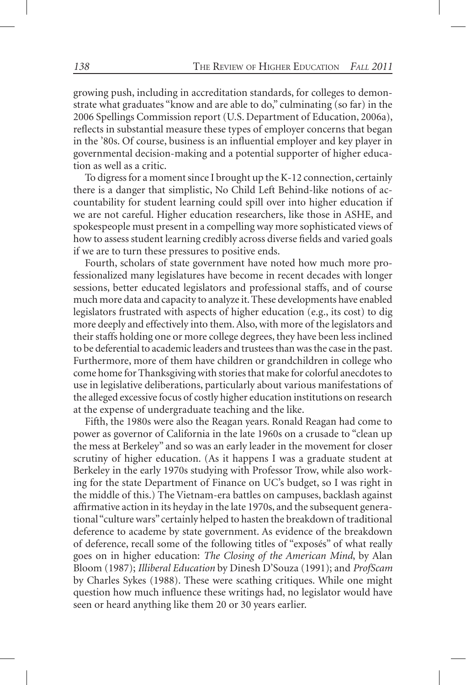growing push, including in accreditation standards, for colleges to demonstrate what graduates "know and are able to do," culminating (so far) in the 2006 Spellings Commission report (U.S. Department of Education, 2006a), reflects in substantial measure these types of employer concerns that began in the '80s. Of course, business is an influential employer and key player in governmental decision-making and a potential supporter of higher education as well as a critic.

To digress for a moment since I brought up the K-12 connection, certainly there is a danger that simplistic, No Child Left Behind-like notions of accountability for student learning could spill over into higher education if we are not careful. Higher education researchers, like those in ASHE, and spokespeople must present in a compelling way more sophisticated views of how to assess student learning credibly across diverse fields and varied goals if we are to turn these pressures to positive ends.

Fourth, scholars of state government have noted how much more professionalized many legislatures have become in recent decades with longer sessions, better educated legislators and professional staffs, and of course much more data and capacity to analyze it. These developments have enabled legislators frustrated with aspects of higher education (e.g., its cost) to dig more deeply and effectively into them. Also, with more of the legislators and their staffs holding one or more college degrees, they have been less inclined to be deferential to academic leaders and trustees than was the case in the past. Furthermore, more of them have children or grandchildren in college who come home for Thanksgiving with stories that make for colorful anecdotes to use in legislative deliberations, particularly about various manifestations of the alleged excessive focus of costly higher education institutions on research at the expense of undergraduate teaching and the like.

Fifth, the 1980s were also the Reagan years. Ronald Reagan had come to power as governor of California in the late 1960s on a crusade to "clean up the mess at Berkeley" and so was an early leader in the movement for closer scrutiny of higher education. (As it happens I was a graduate student at Berkeley in the early 1970s studying with Professor Trow, while also working for the state Department of Finance on UC's budget, so I was right in the middle of this.) The Vietnam-era battles on campuses, backlash against affirmative action in its heyday in the late 1970s, and the subsequent generational "culture wars" certainly helped to hasten the breakdown of traditional deference to academe by state government. As evidence of the breakdown of deference, recall some of the following titles of "exposés" of what really goes on in higher education: *The Closing of the American Mind*, by Alan Bloom (1987); *Illiberal Education* by Dinesh D'Souza (1991); and *ProfScam* by Charles Sykes (1988). These were scathing critiques. While one might question how much influence these writings had, no legislator would have seen or heard anything like them 20 or 30 years earlier.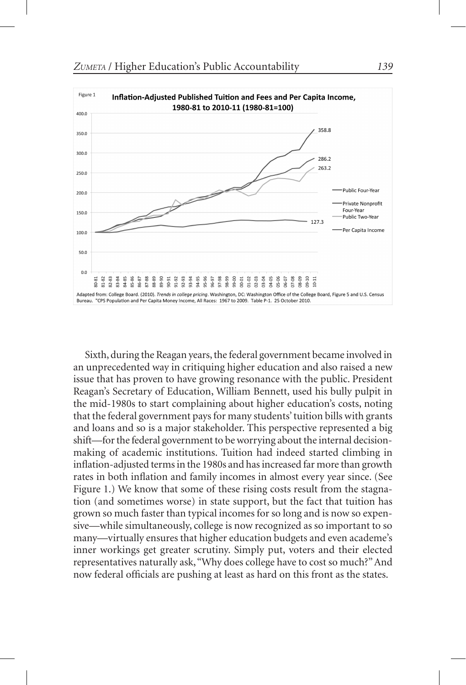

Sixth, during the Reagan years, the federal government became involved in an unprecedented way in critiquing higher education and also raised a new issue that has proven to have growing resonance with the public. President Reagan's Secretary of Education, William Bennett, used his bully pulpit in the mid-1980s to start complaining about higher education's costs, noting that the federal government pays for many students' tuition bills with grants and loans and so is a major stakeholder. This perspective represented a big shift—for the federal government to be worrying about the internal decisionmaking of academic institutions. Tuition had indeed started climbing in inflation-adjusted terms in the 1980s and has increased far more than growth rates in both inflation and family incomes in almost every year since. (See Figure 1.) We know that some of these rising costs result from the stagnation (and sometimes worse) in state support, but the fact that tuition has grown so much faster than typical incomes for so long and is now so expensive—while simultaneously, college is now recognized as so important to so many—virtually ensures that higher education budgets and even academe's inner workings get greater scrutiny. Simply put, voters and their elected representatives naturally ask, "Why does college have to cost so much?" And now federal officials are pushing at least as hard on this front as the states.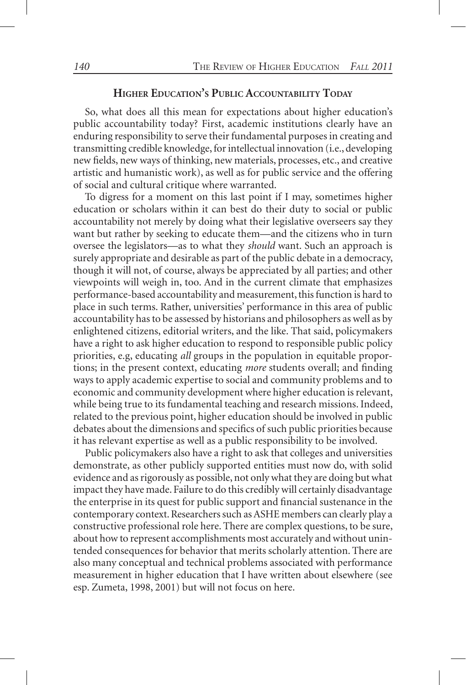## **Higher Education's Public Accountability Today**

So, what does all this mean for expectations about higher education's public accountability today? First, academic institutions clearly have an enduring responsibility to serve their fundamental purposes in creating and transmitting credible knowledge, for intellectual innovation (i.e., developing new fields, new ways of thinking, new materials, processes, etc., and creative artistic and humanistic work), as well as for public service and the offering of social and cultural critique where warranted.

To digress for a moment on this last point if I may, sometimes higher education or scholars within it can best do their duty to social or public accountability not merely by doing what their legislative overseers say they want but rather by seeking to educate them—and the citizens who in turn oversee the legislators—as to what they *should* want. Such an approach is surely appropriate and desirable as part of the public debate in a democracy, though it will not, of course, always be appreciated by all parties; and other viewpoints will weigh in, too. And in the current climate that emphasizes performance-based accountability and measurement, this function is hard to place in such terms. Rather, universities' performance in this area of public accountability has to be assessed by historians and philosophers as well as by enlightened citizens, editorial writers, and the like. That said, policymakers have a right to ask higher education to respond to responsible public policy priorities, e.g, educating *all* groups in the population in equitable proportions; in the present context, educating *more* students overall; and finding ways to apply academic expertise to social and community problems and to economic and community development where higher education is relevant, while being true to its fundamental teaching and research missions. Indeed, related to the previous point, higher education should be involved in public debates about the dimensions and specifics of such public priorities because it has relevant expertise as well as a public responsibility to be involved.

Public policymakers also have a right to ask that colleges and universities demonstrate, as other publicly supported entities must now do, with solid evidence and as rigorously as possible, not only what they are doing but what impact they have made. Failure to do this credibly will certainly disadvantage the enterprise in its quest for public support and financial sustenance in the contemporary context. Researchers such as ASHE members can clearly play a constructive professional role here. There are complex questions, to be sure, about how to represent accomplishments most accurately and without unintended consequences for behavior that merits scholarly attention. There are also many conceptual and technical problems associated with performance measurement in higher education that I have written about elsewhere (see esp. Zumeta, 1998, 2001) but will not focus on here.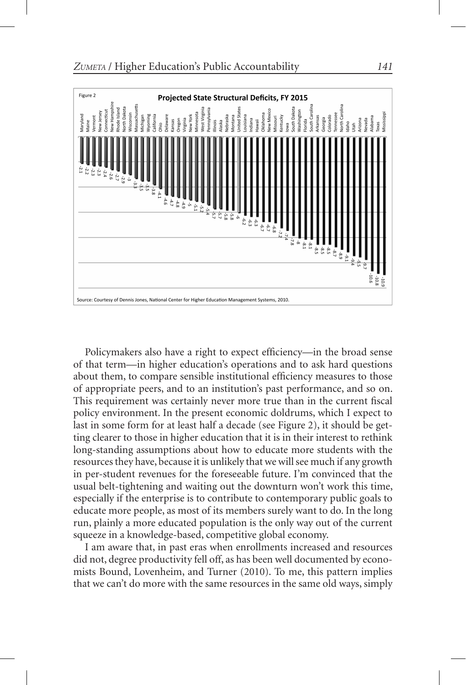

Policymakers also have a right to expect efficiency—in the broad sense of that term—in higher education's operations and to ask hard questions about them, to compare sensible institutional efficiency measures to those of appropriate peers, and to an institution's past performance, and so on. This requirement was certainly never more true than in the current fiscal policy environment. In the present economic doldrums, which I expect to last in some form for at least half a decade (see Figure 2), it should be getting clearer to those in higher education that it is in their interest to rethink long-standing assumptions about how to educate more students with the resources they have, because it is unlikely that we will see much if any growth in per-student revenues for the foreseeable future. I'm convinced that the usual belt-tightening and waiting out the downturn won't work this time, especially if the enterprise is to contribute to contemporary public goals to educate more people, as most of its members surely want to do. In the long run, plainly a more educated population is the only way out of the current squeeze in a knowledge-based, competitive global economy.

I am aware that, in past eras when enrollments increased and resources did not, degree productivity fell off, as has been well documented by economists Bound, Lovenheim, and Turner (2010). To me, this pattern implies that we can't do more with the same resources in the same old ways, simply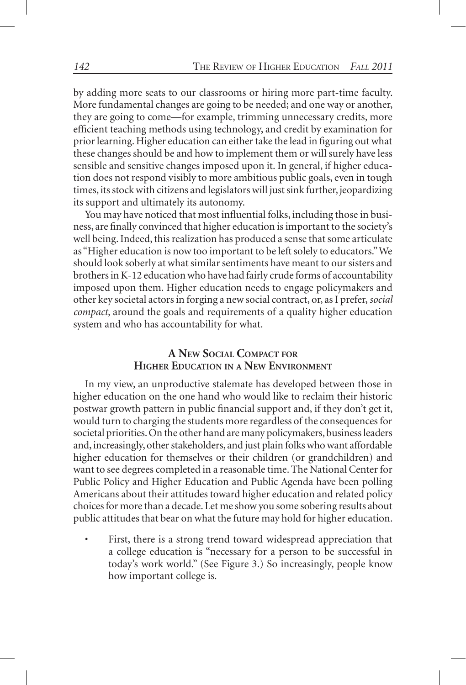by adding more seats to our classrooms or hiring more part-time faculty. More fundamental changes are going to be needed; and one way or another, they are going to come—for example, trimming unnecessary credits, more efficient teaching methods using technology, and credit by examination for prior learning. Higher education can either take the lead in figuring out what these changes should be and how to implement them or will surely have less sensible and sensitive changes imposed upon it. In general, if higher education does not respond visibly to more ambitious public goals, even in tough times, its stock with citizens and legislators will just sink further, jeopardizing its support and ultimately its autonomy.

You may have noticed that most influential folks, including those in business, are finally convinced that higher education is important to the society's well being. Indeed, this realization has produced a sense that some articulate as "Higher education is now too important to be left solely to educators." We should look soberly at what similar sentiments have meant to our sisters and brothers in K-12 education who have had fairly crude forms of accountability imposed upon them. Higher education needs to engage policymakers and other key societal actors in forging a new social contract, or, as I prefer, *social compact*, around the goals and requirements of a quality higher education system and who has accountability for what.

# **A New Social Compact for Higher Education in <sup>a</sup> New Environment**

In my view, an unproductive stalemate has developed between those in higher education on the one hand who would like to reclaim their historic postwar growth pattern in public financial support and, if they don't get it, would turn to charging the students more regardless of the consequences for societal priorities. On the other hand are many policymakers, business leaders and, increasingly, other stakeholders, and just plain folks who want affordable higher education for themselves or their children (or grandchildren) and want to see degrees completed in a reasonable time. The National Center for Public Policy and Higher Education and Public Agenda have been polling Americans about their attitudes toward higher education and related policy choices for more than a decade. Let me show you some sobering results about public attitudes that bear on what the future may hold for higher education.

First, there is a strong trend toward widespread appreciation that a college education is "necessary for a person to be successful in today's work world." (See Figure 3.) So increasingly, people know how important college is.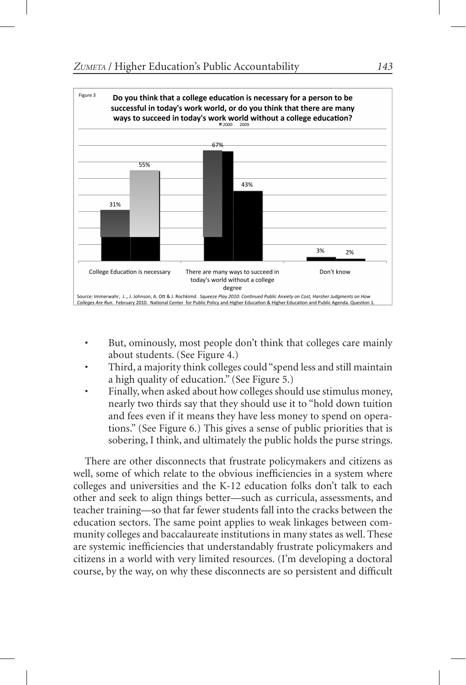

- But, ominously, most people don't think that colleges care mainly about students. (See Figure 4.)
- Third, a majority think colleges could "spend less and still maintain a high quality of education." (See Figure 5.)
- Finally, when asked about how colleges should use stimulus money, nearly two thirds say that they should use it to "hold down tuition and fees even if it means they have less money to spend on operations." (See Figure 6.) This gives a sense of public priorities that is sobering, I think, and ultimately the public holds the purse strings.

There are other disconnects that frustrate policymakers and citizens as well, some of which relate to the obvious inefficiencies in a system where colleges and universities and the K-12 education folks don't talk to each other and seek to align things better—such as curricula, assessments, and teacher training—so that far fewer students fall into the cracks between the education sectors. The same point applies to weak linkages between community colleges and baccalaureate institutions in many states as well. These are systemic inefficiencies that understandably frustrate policymakers and citizens in a world with very limited resources. (I'm developing a doctoral course, by the way, on why these disconnects are so persistent and difficult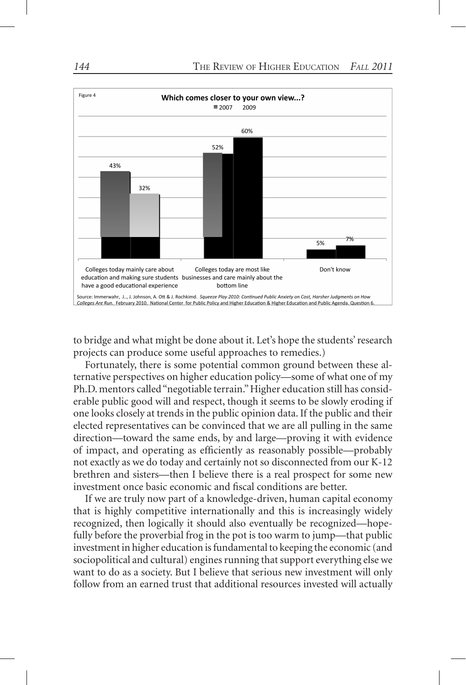

to bridge and what might be done about it. Let's hope the students' research projects can produce some useful approaches to remedies.)

Fortunately, there is some potential common ground between these alternative perspectives on higher education policy—some of what one of my Ph.D. mentors called "negotiable terrain." Higher education still has considerable public good will and respect, though it seems to be slowly eroding if one looks closely at trends in the public opinion data. If the public and their elected representatives can be convinced that we are all pulling in the same direction—toward the same ends, by and large—proving it with evidence of impact, and operating as efficiently as reasonably possible—probably not exactly as we do today and certainly not so disconnected from our K-12 brethren and sisters—then I believe there is a real prospect for some new investment once basic economic and fiscal conditions are better.

If we are truly now part of a knowledge-driven, human capital economy that is highly competitive internationally and this is increasingly widely recognized, then logically it should also eventually be recognized—hopefully before the proverbial frog in the pot is too warm to jump—that public investment in higher education is fundamental to keeping the economic (and sociopolitical and cultural) engines running that support everything else we want to do as a society. But I believe that serious new investment will only follow from an earned trust that additional resources invested will actually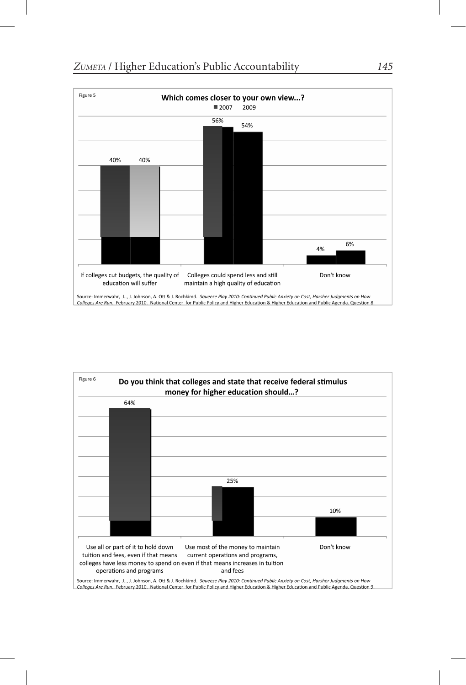



Colleges Are Run. February 2010. National Center for Public Policy and Higher Education & Higher Education and Public Agenda. Question 9.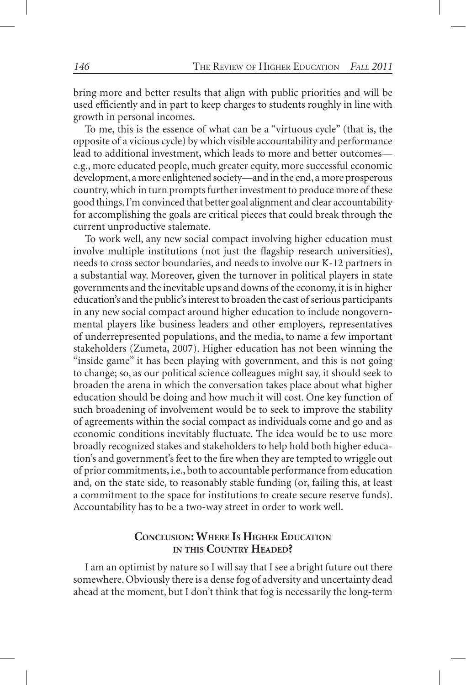bring more and better results that align with public priorities and will be used efficiently and in part to keep charges to students roughly in line with growth in personal incomes.

To me, this is the essence of what can be a "virtuous cycle" (that is, the opposite of a vicious cycle) by which visible accountability and performance lead to additional investment, which leads to more and better outcomes e.g., more educated people, much greater equity, more successful economic development, a more enlightened society—and in the end, a more prosperous country, which in turn prompts further investment to produce more of these good things. I'm convinced that better goal alignment and clear accountability for accomplishing the goals are critical pieces that could break through the current unproductive stalemate.

To work well, any new social compact involving higher education must involve multiple institutions (not just the flagship research universities), needs to cross sector boundaries, and needs to involve our K-12 partners in a substantial way. Moreover, given the turnover in political players in state governments and the inevitable ups and downs of the economy, it is in higher education's and the public's interest to broaden the cast of serious participants in any new social compact around higher education to include nongovernmental players like business leaders and other employers, representatives of underrepresented populations, and the media, to name a few important stakeholders (Zumeta, 2007). Higher education has not been winning the "inside game" it has been playing with government, and this is not going to change; so, as our political science colleagues might say, it should seek to broaden the arena in which the conversation takes place about what higher education should be doing and how much it will cost. One key function of such broadening of involvement would be to seek to improve the stability of agreements within the social compact as individuals come and go and as economic conditions inevitably fluctuate. The idea would be to use more broadly recognized stakes and stakeholders to help hold both higher education's and government's feet to the fire when they are tempted to wriggle out of prior commitments, i.e., both to accountable performance from education and, on the state side, to reasonably stable funding (or, failing this, at least a commitment to the space for institutions to create secure reserve funds). Accountability has to be a two-way street in order to work well.

# **Conclusion: Where Is Higher Education in this Country Headed?**

I am an optimist by nature so I will say that I see a bright future out there somewhere. Obviously there is a dense fog of adversity and uncertainty dead ahead at the moment, but I don't think that fog is necessarily the long-term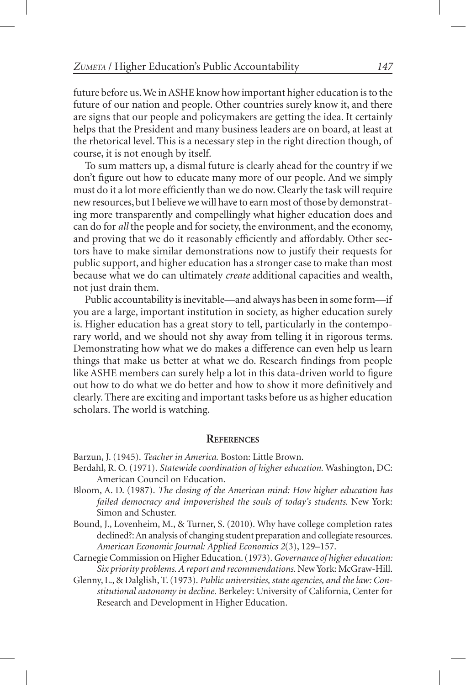future before us. We in ASHE know how important higher education is to the future of our nation and people. Other countries surely know it, and there are signs that our people and policymakers are getting the idea. It certainly helps that the President and many business leaders are on board, at least at the rhetorical level. This is a necessary step in the right direction though, of course, it is not enough by itself.

To sum matters up, a dismal future is clearly ahead for the country if we don't figure out how to educate many more of our people. And we simply must do it a lot more efficiently than we do now. Clearly the task will require new resources, but I believe we will have to earn most of those by demonstrating more transparently and compellingly what higher education does and can do for *all* the people and for society, the environment, and the economy, and proving that we do it reasonably efficiently and affordably. Other sectors have to make similar demonstrations now to justify their requests for public support, and higher education has a stronger case to make than most because what we do can ultimately *create* additional capacities and wealth, not just drain them.

Public accountability is inevitable—and always has been in some form—if you are a large, important institution in society, as higher education surely is. Higher education has a great story to tell, particularly in the contemporary world, and we should not shy away from telling it in rigorous terms. Demonstrating how what we do makes a difference can even help us learn things that make us better at what we do. Research findings from people like ASHE members can surely help a lot in this data-driven world to figure out how to do what we do better and how to show it more definitively and clearly. There are exciting and important tasks before us as higher education scholars. The world is watching.

#### **References**

Barzun, J. (1945). *Teacher in America.* Boston: Little Brown.

- Berdahl, R. O. (1971). *Statewide coordination of higher education.* Washington, DC: American Council on Education.
- Bloom, A. D. (1987). *The closing of the American mind: How higher education has failed democracy and impoverished the souls of today's students.* New York: Simon and Schuster.
- Bound, J., Lovenheim, M., & Turner, S. (2010). Why have college completion rates declined?: An analysis of changing student preparation and collegiate resources. *American Economic Journal: Applied Economics 2*(3), 129–157.
- Carnegie Commission on Higher Education. (1973). *Governance of higher education: Six priority problems. A report and recommendations.* New York: McGraw-Hill.
- Glenny, L., & Dalglish, T. (1973). *Public universities, state agencies, and the law: Constitutional autonomy in decline.* Berkeley: University of California, Center for Research and Development in Higher Education.